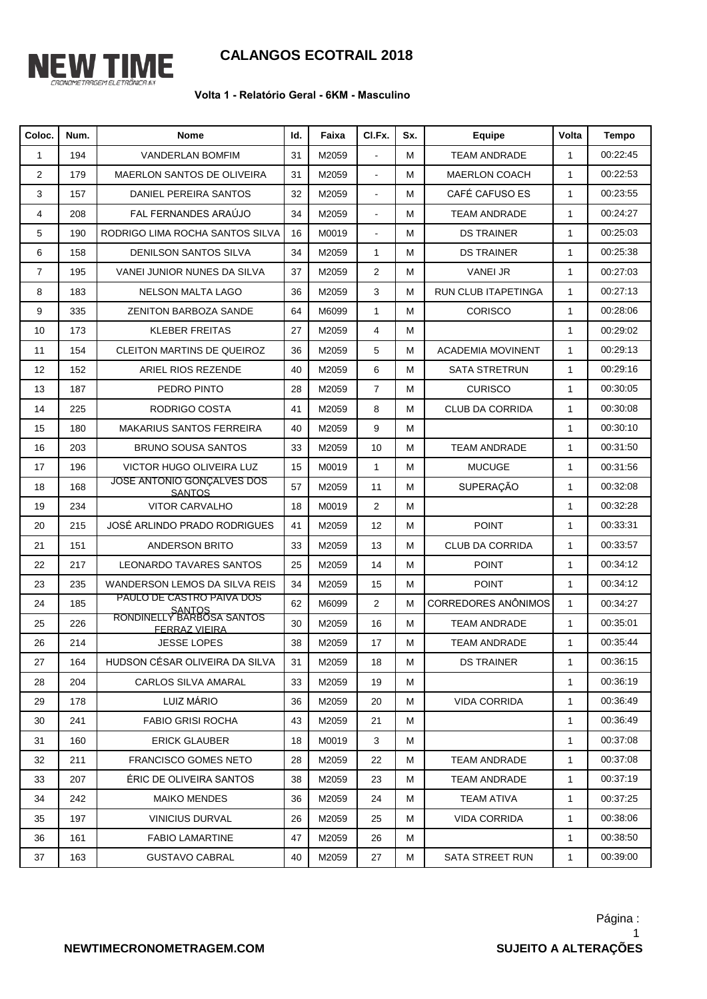

## **CALANGOS ECOTRAIL 2018**

## **Volta 1 - Relatório Geral - 6KM - Masculino**

| Coloc.            | Num. | <b>Nome</b>                                       | Id. | Faixa | CI.Fx.                   | Sx. | <b>Equipe</b>              | Volta        | Tempo    |
|-------------------|------|---------------------------------------------------|-----|-------|--------------------------|-----|----------------------------|--------------|----------|
| 1                 | 194  | <b>VANDERLAN BOMFIM</b>                           | 31  | M2059 |                          | M   | <b>TEAM ANDRADE</b>        | $\mathbf{1}$ | 00:22:45 |
| 2                 | 179  | MAERLON SANTOS DE OLIVEIRA                        | 31  | M2059 | $\blacksquare$           | M   | <b>MAERLON COACH</b>       | $\mathbf{1}$ | 00:22:53 |
| 3                 | 157  | DANIEL PEREIRA SANTOS                             | 32  | M2059 | $\overline{\phantom{a}}$ | M   | CAFÉ CAFUSO ES             | $\mathbf{1}$ | 00:23:55 |
| 4                 | 208  | FAL FERNANDES ARAÚJO                              | 34  | M2059 | $\blacksquare$           | М   | <b>TEAM ANDRADE</b>        | $\mathbf{1}$ | 00:24:27 |
| 5                 | 190  | RODRIGO LIMA ROCHA SANTOS SILVA                   | 16  | M0019 | ÷,                       | М   | <b>DS TRAINER</b>          | $\mathbf{1}$ | 00:25:03 |
| 6                 | 158  | DENILSON SANTOS SILVA                             | 34  | M2059 | $\mathbf{1}$             | M   | <b>DS TRAINER</b>          | $\mathbf{1}$ | 00:25:38 |
| $\overline{7}$    | 195  | VANEI JUNIOR NUNES DA SILVA                       | 37  | M2059 | $\overline{2}$           | M   | <b>VANEI JR</b>            | $\mathbf{1}$ | 00:27:03 |
| 8                 | 183  | <b>NELSON MALTA LAGO</b>                          | 36  | M2059 | 3                        | M   | RUN CLUB ITAPETINGA        | $\mathbf{1}$ | 00:27:13 |
| 9                 | 335  | <b>ZENITON BARBOZA SANDE</b>                      | 64  | M6099 | $\mathbf{1}$             | M   | <b>CORISCO</b>             | $\mathbf{1}$ | 00:28:06 |
| 10                | 173  | <b>KLEBER FREITAS</b>                             | 27  | M2059 | 4                        | M   |                            | $\mathbf{1}$ | 00:29:02 |
| 11                | 154  | <b>CLEITON MARTINS DE QUEIROZ</b>                 | 36  | M2059 | 5                        | M   | <b>ACADEMIA MOVINENT</b>   | $\mathbf{1}$ | 00:29:13 |
| $12 \overline{ }$ | 152  | ARIEL RIOS REZENDE                                | 40  | M2059 | 6                        | М   | <b>SATA STRETRUN</b>       | $\mathbf{1}$ | 00:29:16 |
| 13                | 187  | PEDRO PINTO                                       | 28  | M2059 | $\overline{7}$           | M   | <b>CURISCO</b>             | $\mathbf{1}$ | 00:30:05 |
| 14                | 225  | RODRIGO COSTA                                     | 41  | M2059 | 8                        | M   | <b>CLUB DA CORRIDA</b>     | $\mathbf{1}$ | 00:30:08 |
| 15                | 180  | <b>MAKARIUS SANTOS FERREIRA</b>                   | 40  | M2059 | 9                        | M   |                            | $\mathbf{1}$ | 00:30:10 |
| 16                | 203  | <b>BRUNO SOUSA SANTOS</b>                         | 33  | M2059 | 10                       | М   | <b>TEAM ANDRADE</b>        | $\mathbf{1}$ | 00:31:50 |
| 17                | 196  | VICTOR HUGO OLIVEIRA LUZ                          | 15  | M0019 | $\mathbf{1}$             | M   | <b>MUCUGE</b>              | $\mathbf{1}$ | 00:31:56 |
| 18                | 168  | JOSE ANTONIO GONÇALVES DOS<br><b>SANTOS</b>       | 57  | M2059 | 11                       | M   | SUPERAÇÃO                  | $\mathbf{1}$ | 00:32:08 |
| 19                | 234  | <b>VITOR CARVALHO</b>                             | 18  | M0019 | $\overline{2}$           | M   |                            | $\mathbf{1}$ | 00:32:28 |
| 20                | 215  | JOSÉ ARLINDO PRADO RODRIGUES                      | 41  | M2059 | 12                       | M   | <b>POINT</b>               | $\mathbf{1}$ | 00:33:31 |
| 21                | 151  | <b>ANDERSON BRITO</b>                             | 33  | M2059 | 13                       | M   | <b>CLUB DA CORRIDA</b>     | $\mathbf{1}$ | 00:33:57 |
| 22                | 217  | <b>LEONARDO TAVARES SANTOS</b>                    | 25  | M2059 | 14                       | M   | <b>POINT</b>               | $\mathbf{1}$ | 00:34:12 |
| 23                | 235  | WANDERSON LEMOS DA SILVA REIS                     | 34  | M2059 | 15                       | M   | <b>POINT</b>               | $\mathbf{1}$ | 00:34:12 |
| 24                | 185  | PAULO DE CASTRO PAIVA DOS<br>SANTOS               | 62  | M6099 | $\overline{2}$           | M   | <b>CORREDORES ANÔNIMOS</b> | $\mathbf{1}$ | 00:34:27 |
| 25                | 226  | RONDINELLY BARBOSA SANTOS<br><b>FERRAZ VIEIRA</b> | 30  | M2059 | 16                       | M   | <b>TEAM ANDRADE</b>        | $\mathbf{1}$ | 00:35:01 |
| 26                | 214  | <b>JESSE LOPES</b>                                | 38  | M2059 | 17                       | М   | <b>TEAM ANDRADE</b>        | $\mathbf{1}$ | 00:35:44 |
| 27                | 164  | HUDSON CÉSAR OLIVEIRA DA SILVA                    | 31  | M2059 | 18                       | м   | DS TRAINER                 | $\mathbf{1}$ | 00:36:15 |
| 28                | 204  | CARLOS SILVA AMARAL                               | 33  | M2059 | 19                       | м   |                            | $\mathbf{1}$ | 00:36:19 |
| 29                | 178  | LUIZ MÁRIO                                        | 36  | M2059 | 20                       | м   | <b>VIDA CORRIDA</b>        | $\mathbf{1}$ | 00:36:49 |
| 30                | 241  | <b>FABIO GRISI ROCHA</b>                          | 43  | M2059 | 21                       | М   |                            | $\mathbf{1}$ | 00:36:49 |
| 31                | 160  | <b>ERICK GLAUBER</b>                              | 18  | M0019 | 3                        | М   |                            | $\mathbf{1}$ | 00:37:08 |
| 32                | 211  | <b>FRANCISCO GOMES NETO</b>                       | 28  | M2059 | 22                       | м   | <b>TEAM ANDRADE</b>        | $\mathbf{1}$ | 00:37:08 |
| 33                | 207  | ÉRIC DE OLIVEIRA SANTOS                           | 38  | M2059 | 23                       | М   | TEAM ANDRADE               | $\mathbf{1}$ | 00:37:19 |
| 34                | 242  | <b>MAIKO MENDES</b>                               | 36  | M2059 | 24                       | М   | <b>TEAM ATIVA</b>          | $\mathbf{1}$ | 00:37:25 |
| 35                | 197  | <b>VINICIUS DURVAL</b>                            | 26  | M2059 | 25                       | м   | <b>VIDA CORRIDA</b>        | $\mathbf{1}$ | 00:38:06 |
| 36                | 161  | <b>FABIO LAMARTINE</b>                            | 47  | M2059 | 26                       | М   |                            | $\mathbf{1}$ | 00:38:50 |
| 37                | 163  | <b>GUSTAVO CABRAL</b>                             | 40  | M2059 | 27                       | M   | SATA STREET RUN            | $\mathbf{1}$ | 00:39:00 |